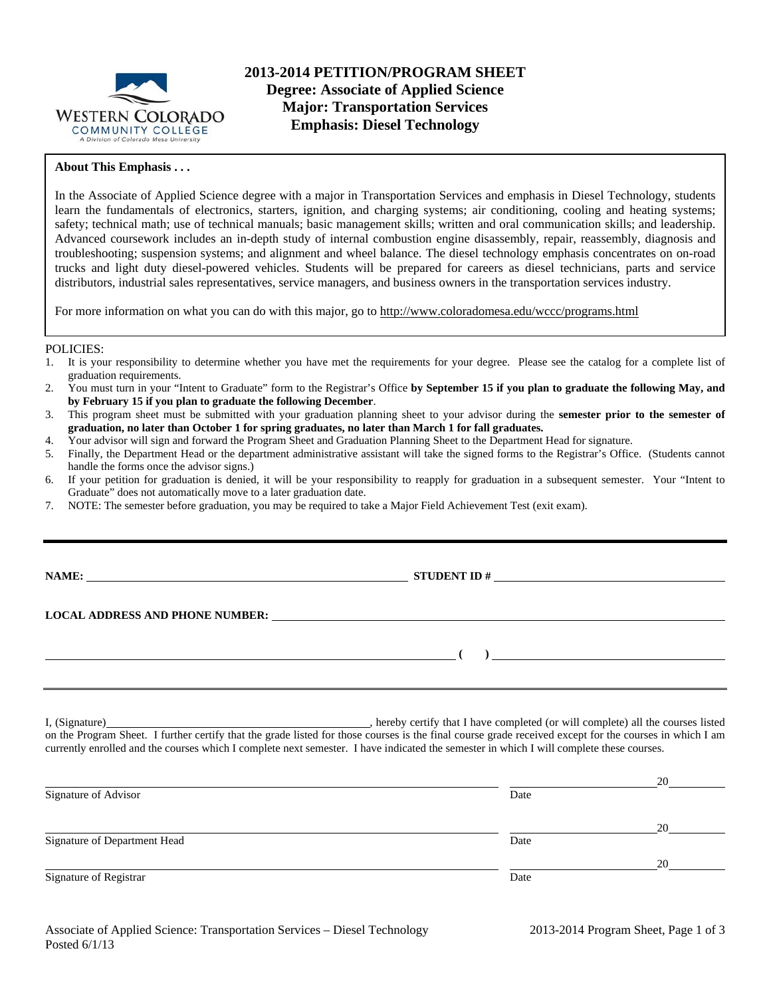

## **About This Emphasis . . .**

In the Associate of Applied Science degree with a major in Transportation Services and emphasis in Diesel Technology, students learn the fundamentals of electronics, starters, ignition, and charging systems; air conditioning, cooling and heating systems; safety; technical math; use of technical manuals; basic management skills; written and oral communication skills; and leadership. Advanced coursework includes an in-depth study of internal combustion engine disassembly, repair, reassembly, diagnosis and troubleshooting; suspension systems; and alignment and wheel balance. The diesel technology emphasis concentrates on on-road trucks and light duty diesel-powered vehicles. Students will be prepared for careers as diesel technicians, parts and service distributors, industrial sales representatives, service managers, and business owners in the transportation services industry.

For more information on what you can do with this major, go to http://www.coloradomesa.edu/wccc/programs.html

### POLICIES:

- 1. It is your responsibility to determine whether you have met the requirements for your degree. Please see the catalog for a complete list of graduation requirements.
- 2. You must turn in your "Intent to Graduate" form to the Registrar's Office **by September 15 if you plan to graduate the following May, and by February 15 if you plan to graduate the following December**.
- 3. This program sheet must be submitted with your graduation planning sheet to your advisor during the **semester prior to the semester of graduation, no later than October 1 for spring graduates, no later than March 1 for fall graduates.**
- 4. Your advisor will sign and forward the Program Sheet and Graduation Planning Sheet to the Department Head for signature.
- 5. Finally, the Department Head or the department administrative assistant will take the signed forms to the Registrar's Office. (Students cannot handle the forms once the advisor signs.)
- 6. If your petition for graduation is denied, it will be your responsibility to reapply for graduation in a subsequent semester. Your "Intent to Graduate" does not automatically move to a later graduation date.
- 7. NOTE: The semester before graduation, you may be required to take a Major Field Achievement Test (exit exam).

**NAME: STUDENT ID #** 

 **( )** 

**LOCAL ADDRESS AND PHONE NUMBER:**

I, (Signature) , hereby certify that I have completed (or will complete) all the courses listed on the Program Sheet. I further certify that the grade listed for those courses is the final course grade received except for the courses in which I am currently enrolled and the courses which I complete next semester. I have indicated the semester in which I will complete these courses.

|                              |      | 20 |
|------------------------------|------|----|
| Signature of Advisor         | Date |    |
|                              |      | 20 |
| Signature of Department Head | Date |    |
|                              |      | 20 |
| Signature of Registrar       | Date |    |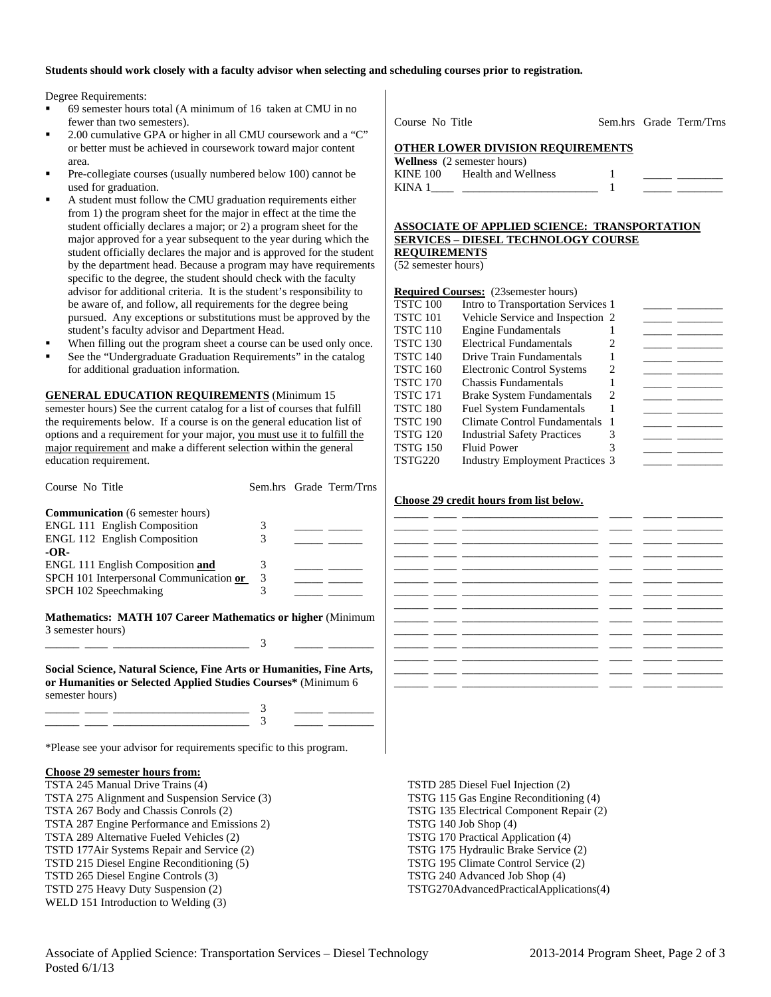### **Students should work closely with a faculty advisor when selecting and scheduling courses prior to registration.**

Degree Requirements:

- 69 semester hours total (A minimum of 16 taken at CMU in no fewer than two semesters).
- 2.00 cumulative GPA or higher in all CMU coursework and a "C" or better must be achieved in coursework toward major content area.
- Pre-collegiate courses (usually numbered below 100) cannot be used for graduation.
- A student must follow the CMU graduation requirements either from 1) the program sheet for the major in effect at the time the student officially declares a major; or 2) a program sheet for the major approved for a year subsequent to the year during which the student officially declares the major and is approved for the student by the department head. Because a program may have requirements specific to the degree, the student should check with the faculty advisor for additional criteria. It is the student's responsibility to be aware of, and follow, all requirements for the degree being pursued. Any exceptions or substitutions must be approved by the student's faculty advisor and Department Head.
- When filling out the program sheet a course can be used only once.
- See the "Undergraduate Graduation Requirements" in the catalog for additional graduation information.

**GENERAL EDUCATION REQUIREMENTS** (Minimum 15 semester hours) See the current catalog for a list of courses that fulfill the requirements below. If a course is on the general education list of options and a requirement for your major, you must use it to fulfill the major requirement and make a different selection within the general education requirement.

| Course No Title                                                                                                                                          |   | Sem.hrs Grade Term/Trns |  |  |  |  |
|----------------------------------------------------------------------------------------------------------------------------------------------------------|---|-------------------------|--|--|--|--|
| <b>Communication</b> (6 semester hours)                                                                                                                  |   |                         |  |  |  |  |
| <b>ENGL 111 English Composition</b>                                                                                                                      | 3 | ____ ______             |  |  |  |  |
| <b>ENGL 112 English Composition</b>                                                                                                                      | 3 |                         |  |  |  |  |
| $-OR-$                                                                                                                                                   |   |                         |  |  |  |  |
| <b>ENGL 111 English Composition and</b>                                                                                                                  | 3 |                         |  |  |  |  |
| SPCH 101 Interpersonal Communication or                                                                                                                  | 3 |                         |  |  |  |  |
| SPCH 102 Speechmaking                                                                                                                                    | 3 |                         |  |  |  |  |
| <b>Mathematics: MATH 107 Career Mathematics or higher (Minimum</b><br>3 semester hours)                                                                  | 3 |                         |  |  |  |  |
| Social Science, Natural Science, Fine Arts or Humanities, Fine Arts,<br>or Humanities or Selected Applied Studies Courses* (Minimum 6<br>semester hours) |   |                         |  |  |  |  |
|                                                                                                                                                          |   |                         |  |  |  |  |
|                                                                                                                                                          |   |                         |  |  |  |  |
| *Please see your advisor for requirements specific to this program.                                                                                      |   |                         |  |  |  |  |

#### **Choose 29 semester hours from:**

TSTA 245 Manual Drive Trains (4) TSTA 275 Alignment and Suspension Service (3) TSTA 267 Body and Chassis Conrols (2) TSTA 287 Engine Performance and Emissions 2) TSTA 289 Alternative Fueled Vehicles (2) TSTD 177Air Systems Repair and Service (2) TSTD 215 Diesel Engine Reconditioning (5) TSTD 265 Diesel Engine Controls (3) TSTD 275 Heavy Duty Suspension (2) WELD 151 Introduction to Welding (3)

Course No Title Sem.hrs Grade Term/Trns

#### **OTHER LOWER DIVISION REQUIREMENTS**

**Wellness** (2 semester hours) KINE 100 Health and Wellness 1 KINA  $1 \qquad \qquad$   $1 \qquad \qquad$ 

### **ASSOCIATE OF APPLIED SCIENCE: TRANSPORTATION SERVICES – DIESEL TECHNOLOGY COURSE REQUIREMENTS**

(52 semester hours)

| <b>Required Courses:</b> (23 semester hours) |                                        |   |  |  |  |
|----------------------------------------------|----------------------------------------|---|--|--|--|
| <b>TSTC 100</b>                              | Intro to Transportation Services 1     |   |  |  |  |
| <b>TSTC 101</b>                              | Vehicle Service and Inspection 2       |   |  |  |  |
| <b>TSTC 110</b>                              | <b>Engine Fundamentals</b>             |   |  |  |  |
| <b>TSTC 130</b>                              | Electrical Fundamentals                |   |  |  |  |
| <b>TSTC 140</b>                              | Drive Train Fundamentals               |   |  |  |  |
| <b>TSTC 160</b>                              | <b>Electronic Control Systems</b>      | 2 |  |  |  |
| <b>TSTC 170</b>                              | <b>Chassis Fundamentals</b>            |   |  |  |  |
| <b>TSTC 171</b>                              | <b>Brake System Fundamentals</b>       | 2 |  |  |  |
| <b>TSTC 180</b>                              | <b>Fuel System Fundamentals</b>        |   |  |  |  |
| <b>TSTC 190</b>                              | Climate Control Fundamentals           |   |  |  |  |
| <b>TSTG 120</b>                              | <b>Industrial Safety Practices</b>     | 3 |  |  |  |
| <b>TSTG 150</b>                              | <b>Fluid Power</b>                     |   |  |  |  |
| TSTG220                                      | <b>Industry Employment Practices 3</b> |   |  |  |  |

#### **Choose 29 credit hours from list below.**

|  | ÷                        |                          |  |
|--|--------------------------|--------------------------|--|
|  | $\overline{\phantom{0}}$ |                          |  |
|  | $\overline{\phantom{a}}$ |                          |  |
|  |                          |                          |  |
|  | ___                      |                          |  |
|  | _ _                      |                          |  |
|  |                          |                          |  |
|  | $\sim$                   |                          |  |
|  | ÷.                       | $\overline{\phantom{0}}$ |  |
|  | __                       |                          |  |
|  | __                       |                          |  |
|  | $\overline{\phantom{0}}$ |                          |  |
|  |                          |                          |  |
|  |                          |                          |  |

TSTD 285 Diesel Fuel Injection (2) TSTG 115 Gas Engine Reconditioning (4) TSTG 135 Electrical Component Repair (2) TSTG 140 Job Shop (4) TSTG 170 Practical Application (4) TSTG 175 Hydraulic Brake Service (2) TSTG 195 Climate Control Service (2) TSTG 240 Advanced Job Shop (4) TSTG270AdvancedPracticalApplications(4)